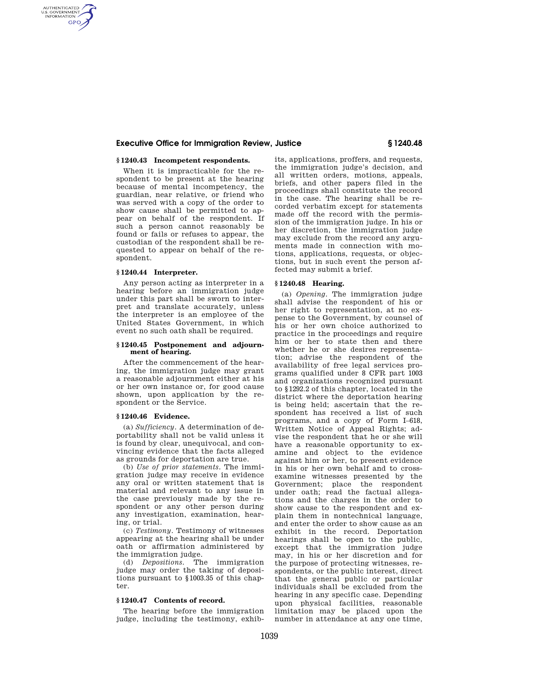## **Executive Office for Immigration Review, Justice § 1240.48**

## **§ 1240.43 Incompetent respondents.**

When it is impracticable for the respondent to be present at the hearing because of mental incompetency, the guardian, near relative, or friend who was served with a copy of the order to show cause shall be permitted to appear on behalf of the respondent. If such a person cannot reasonably be found or fails or refuses to appear, the custodian of the respondent shall be requested to appear on behalf of the respondent.

### **§ 1240.44 Interpreter.**

AUTHENTICATED<br>U.S. GOVERNMENT<br>INFORMATION **GPO** 

> Any person acting as interpreter in a hearing before an immigration judge under this part shall be sworn to interpret and translate accurately, unless the interpreter is an employee of the United States Government, in which event no such oath shall be required.

### **§ 1240.45 Postponement and adjournment of hearing.**

After the commencement of the hearing, the immigration judge may grant a reasonable adjournment either at his or her own instance or, for good cause shown, upon application by the respondent or the Service.

# **§ 1240.46 Evidence.**

(a) *Sufficiency.* A determination of deportability shall not be valid unless it is found by clear, unequivocal, and convincing evidence that the facts alleged as grounds for deportation are true.

(b) *Use of prior statements.* The immigration judge may receive in evidence any oral or written statement that is material and relevant to any issue in the case previously made by the respondent or any other person during any investigation, examination, hearing, or trial.

(c) *Testimony.* Testimony of witnesses appearing at the hearing shall be under oath or affirmation administered by the immigration judge.

(d) *Depositions.* The immigration judge may order the taking of depositions pursuant to §1003.35 of this chapter.

# **§ 1240.47 Contents of record.**

The hearing before the immigration judge, including the testimony, exhib-

its, applications, proffers, and requests, the immigration judge's decision, and all written orders, motions, appeals, briefs, and other papers filed in the proceedings shall constitute the record in the case. The hearing shall be recorded verbatim except for statements made off the record with the permission of the immigration judge. In his or her discretion, the immigration judge may exclude from the record any arguments made in connection with motions, applications, requests, or objections, but in such event the person affected may submit a brief.

## **§ 1240.48 Hearing.**

(a) *Opening.* The immigration judge shall advise the respondent of his or her right to representation, at no expense to the Government, by counsel of his or her own choice authorized to practice in the proceedings and require him or her to state then and there whether he or she desires representation; advise the respondent of the availability of free legal services programs qualified under 8 CFR part 1003 and organizations recognized pursuant to §1292.2 of this chapter, located in the district where the deportation hearing is being held; ascertain that the respondent has received a list of such programs, and a copy of Form I–618, Written Notice of Appeal Rights; advise the respondent that he or she will have a reasonable opportunity to examine and object to the evidence against him or her, to present evidence in his or her own behalf and to crossexamine witnesses presented by the Government; place the respondent under oath; read the factual allegations and the charges in the order to show cause to the respondent and explain them in nontechnical language, and enter the order to show cause as an exhibit in the record. Deportation hearings shall be open to the public, except that the immigration judge may, in his or her discretion and for the purpose of protecting witnesses, respondents, or the public interest, direct that the general public or particular individuals shall be excluded from the hearing in any specific case. Depending upon physical facilities, reasonable limitation may be placed upon the number in attendance at any one time,